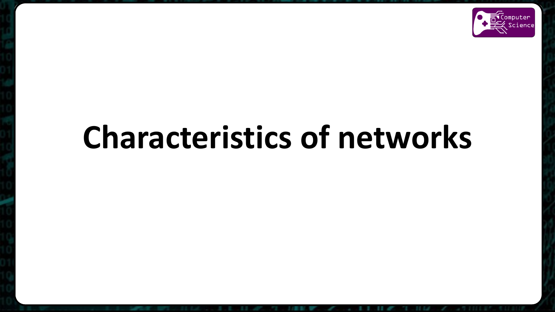

# **Characteristics of networks**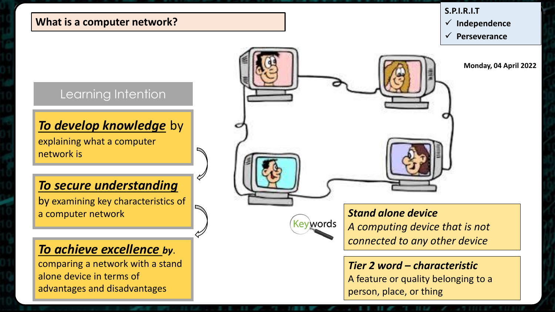#### **What is a computer network?**

#### **S.P.I.R.I.T**

**Independence**

**Perseverance**

**Monday, 04 April 2022**

## Learning Intention

### *To develop knowledge* by

explaining what a computer network is

## *To secure understanding*

by examining key characteristics of a computer network

## *To achieve excellence by*.

comparing a network with a stand alone device in terms of advantages and disadvantages





## *Stand alone device A computing device that is not connected to any other device*

## *Tier 2 word – characteristic*

A feature or quality belonging to a person, place, or thing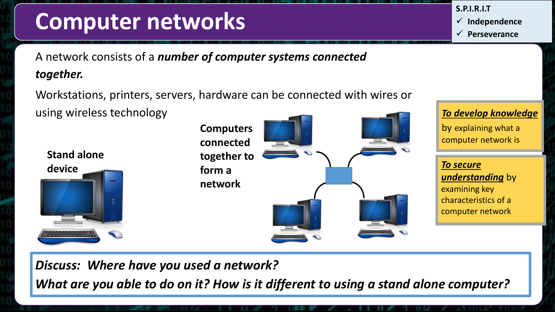## **Computer networks**

**S.P.I.R.I.T**

**Independence**

**Perseverance**

A network consists of a *number of computer systems connected together.* 

Workstations, printers, servers, hardware can be connected with wires or using wireless technology





## *To develop knowledge*

by explaining what a computer network is

*To secure understanding* by examining key characteristics of a computer network

*Discuss: Where have you used a network?*

*What are you able to do on it? How is it different to using a stand alone computer?*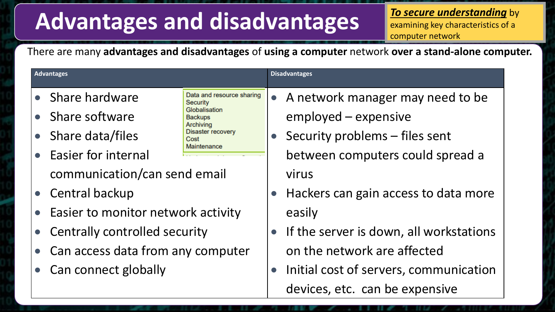## **Advantages and disadvantages**

*To secure understanding* by examining key characteristics of a computer network

There are many **advantages and disadvantages** of **using a computer** network **over a stand-alone computer.**

| <b>Advantages</b>                    |                                                  |                                                                                                 | <b>Disadvantages</b> |                                         |
|--------------------------------------|--------------------------------------------------|-------------------------------------------------------------------------------------------------|----------------------|-----------------------------------------|
|                                      | • Share hardware                                 | Data and resource sharing<br>Security                                                           |                      | • A network manager may need to be      |
|                                      | • Share software                                 | Globalisation<br><b>Backups</b><br>Archiving<br><b>Disaster recovery</b><br>Cost<br>Maintenance |                      | employed – expensive                    |
|                                      | • Share data/files                               |                                                                                                 |                      | Security problems - files sent          |
|                                      | • Easier for internal                            |                                                                                                 |                      | between computers could spread a        |
|                                      | communication/can send email<br>• Central backup |                                                                                                 |                      | virus                                   |
|                                      |                                                  |                                                                                                 |                      | Hackers can gain access to data more    |
| • Easier to monitor network activity |                                                  |                                                                                                 | easily               |                                         |
| • Centrally controlled security      |                                                  |                                                                                                 |                      | If the server is down, all workstations |
| • Can access data from any computer  |                                                  |                                                                                                 |                      | on the network are affected             |
| • Can connect globally               |                                                  |                                                                                                 |                      | Initial cost of servers, communication  |

devices, etc. can be expensive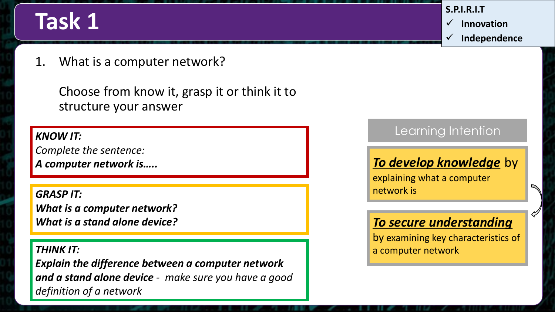## **Task 1**

**S.P.I.R.I.T Innovation Independence**

1. What is a computer network?

Choose from know it, grasp it or think it to structure your answer

#### *KNOW IT:*

*Complete the sentence: A computer network is…..*

*GRASP IT: What is a computer network? What is a stand alone device?*

#### *THINK IT:*

*Explain the difference between a computer network and a stand alone device - make sure you have a good definition of a network*

## Learning Intention

## *To develop knowledge* by

explaining what a computer network is

## *To secure understanding*

by examining key characteristics of a computer network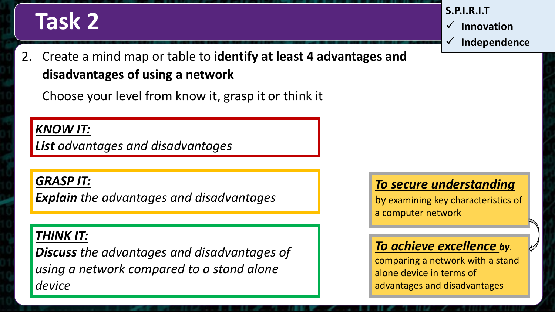# **Task 2 S.P.I.R.I.T**

 **Innovation Independence**

2. Create a mind map or table to **identify at least 4 advantages and disadvantages of using a network**

Choose your level from know it, grasp it or think it

## *KNOW IT:*

*List advantages and disadvantages*

### *GRASP IT:*

*Explain the advantages and disadvantages*

## *THINK IT:*

*Discuss the advantages and disadvantages of using a network compared to a stand alone device*

## *To secure understanding*

by examining key characteristics of a computer network

## *To achieve excellence by*.

comparing a network with a stand alone device in terms of advantages and disadvantages